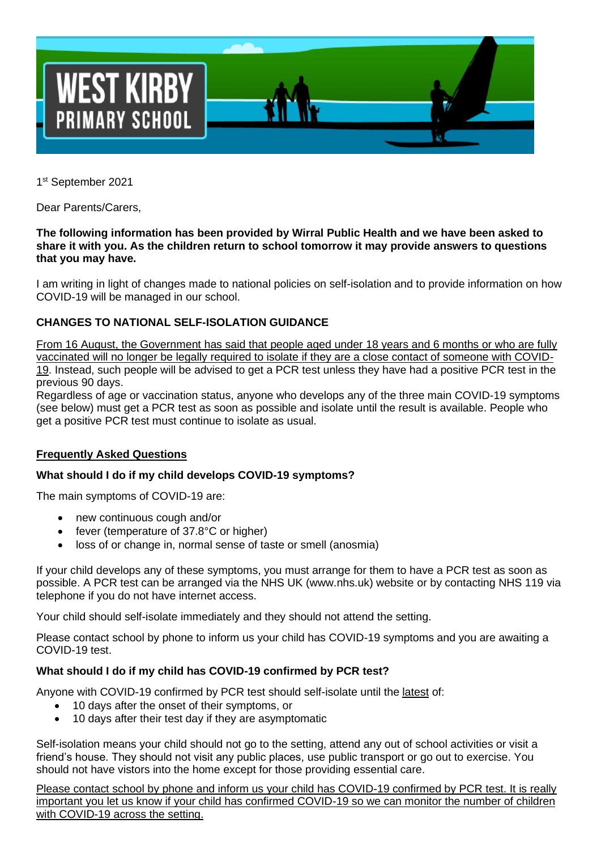

1st September 2021

Dear Parents/Carers,

#### **The following information has been provided by Wirral Public Health and we have been asked to share it with you. As the children return to school tomorrow it may provide answers to questions that you may have.**

I am writing in light of changes made to national policies on self-isolation and to provide information on how COVID-19 will be managed in our school.

# **CHANGES TO NATIONAL SELF-ISOLATION GUIDANCE**

From 16 August, the Government has said that people aged under 18 years and 6 months or who are fully vaccinated will no longer be legally required to isolate if they are a close contact of someone with COVID-19. Instead, such people will be advised to get a PCR test unless they have had a positive PCR test in the previous 90 days.

Regardless of age or vaccination status, anyone who develops any of the three main COVID-19 symptoms (see below) must get a PCR test as soon as possible and isolate until the result is available. People who get a positive PCR test must continue to isolate as usual.

## **Frequently Asked Questions**

## **What should I do if my child develops COVID-19 symptoms?**

The main symptoms of COVID-19 are:

- new continuous cough and/or
- fever (temperature of 37.8°C or higher)
- loss of or change in, normal sense of taste or smell (anosmia)

If your child develops any of these symptoms, you must arrange for them to have a PCR test as soon as possible. A PCR test can be arranged via the NHS UK (www.nhs.uk) website or by contacting NHS 119 via telephone if you do not have internet access.

Your child should self-isolate immediately and they should not attend the setting.

Please contact school by phone to inform us your child has COVID-19 symptoms and you are awaiting a COVID-19 test.

## **What should I do if my child has COVID-19 confirmed by PCR test?**

Anyone with COVID-19 confirmed by PCR test should self-isolate until the latest of:

- 10 days after the onset of their symptoms, or
- 10 days after their test day if they are asymptomatic

Self-isolation means your child should not go to the setting, attend any out of school activities or visit a friend's house. They should not visit any public places, use public transport or go out to exercise. You should not have vistors into the home except for those providing essential care.

Please contact school by phone and inform us your child has COVID-19 confirmed by PCR test. It is really important you let us know if your child has confirmed COVID-19 so we can monitor the number of children with COVID-19 across the setting.